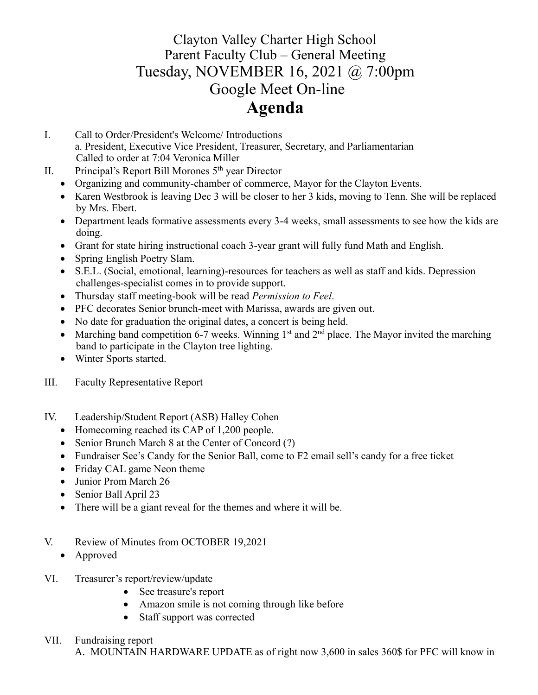# Clayton Valley Charter High School Parent Faculty Club – General Meeting Tuesday, NOVEMBER 16, 2021 @ 7:00pm Google Meet On-line **Agenda**

- I. Call to Order/President's Welcome/ Introductions a. President, Executive Vice President, Treasurer, Secretary, and Parliamentarian Called to order at 7:04 Veronica Miller
- II. Principal's Report Bill Morones  $5<sup>th</sup>$  year Director
	- Organizing and community-chamber of commerce, Mayor for the Clayton Events.
	- Karen Westbrook is leaving Dec 3 will be closer to her 3 kids, moving to Tenn. She will be replaced by Mrs. Ebert.
	- Department leads formative assessments every 3-4 weeks, small assessments to see how the kids are doing.
	- Grant for state hiring instructional coach 3-year grant will fully fund Math and English.
	- Spring English Poetry Slam.
	- S.E.L. (Social, emotional, learning)-resources for teachers as well as staff and kids. Depression challenges-specialist comes in to provide support.
	- Thursday staff meeting-book will be read *Permission to Feel*.
	- PFC decorates Senior brunch-meet with Marissa, awards are given out.
	- No date for graduation the original dates, a concert is being held.
	- Marching band competition 6-7 weeks. Winning  $1<sup>st</sup>$  and  $2<sup>nd</sup>$  place. The Mayor invited the marching band to participate in the Clayton tree lighting.
	- Winter Sports started.
- III. Faculty Representative Report
- IV. Leadership/Student Report (ASB) Halley Cohen
	- Homecoming reached its CAP of 1,200 people.
	- Senior Brunch March 8 at the Center of Concord (?)
	- Fundraiser See's Candy for the Senior Ball, come to F2 email sell's candy for a free ticket
	- Friday CAL game Neon theme
	- Junior Prom March 26
	- Senior Ball April 23
	- There will be a giant reveal for the themes and where it will be.
- V. Review of Minutes from OCTOBER 19,2021
	- Approved
- VI. Treasurer's report/review/update
	- See treasure's report
	- Amazon smile is not coming through like before
	- Staff support was corrected

#### VII. Fundraising report

A. MOUNTAIN HARDWARE UPDATE as of right now 3,600 in sales 360\$ for PFC will know in